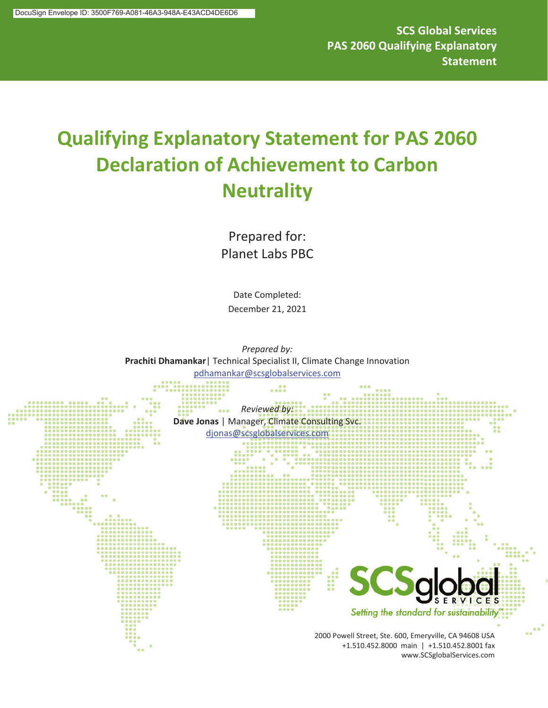**SCS Global Services PAS 2060 Qualifying Explanatory Statement** 

# **Qualifying Explanatory Statement for PAS 2060 Declaration of Achievement to Carbon Neutrality**

Prepared for: Planet Labs PBC

Date Completed: December 21, 2021

*Prepared by:* **Prachiti Dhamankar**| Technical Specialist II, Climate Change Innovation pdhamankar@scsglobalservices.com

*Reviewed by:* **Dave Jonas** | Manager, Climate Consulting Svc. djonas@scsglobalservices.com **SERVICES** Setting the standard for sustainability 2000 Powell Street, Ste. 600, Emeryville, CA 94608 USA +1.510.452.8000 main | +1.510.452.8001 fax www.SCSglobalServices.com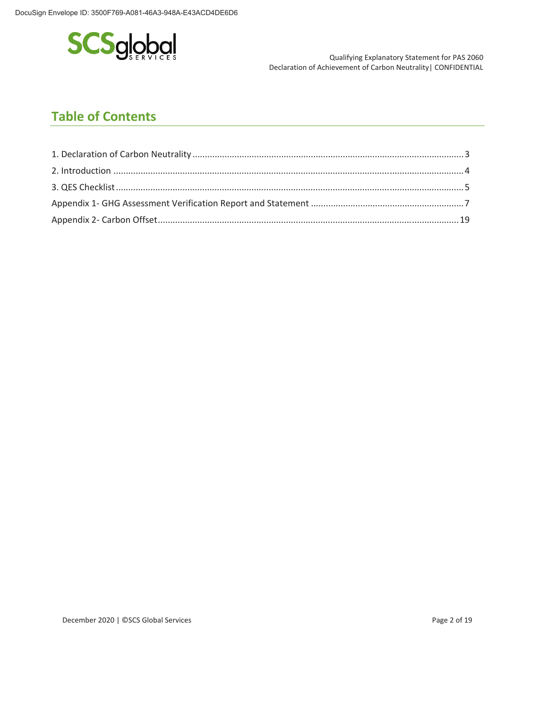

Declaration of Achievement of Carbon Neutrality| CONFIDENTIAL

# **Table of Contents**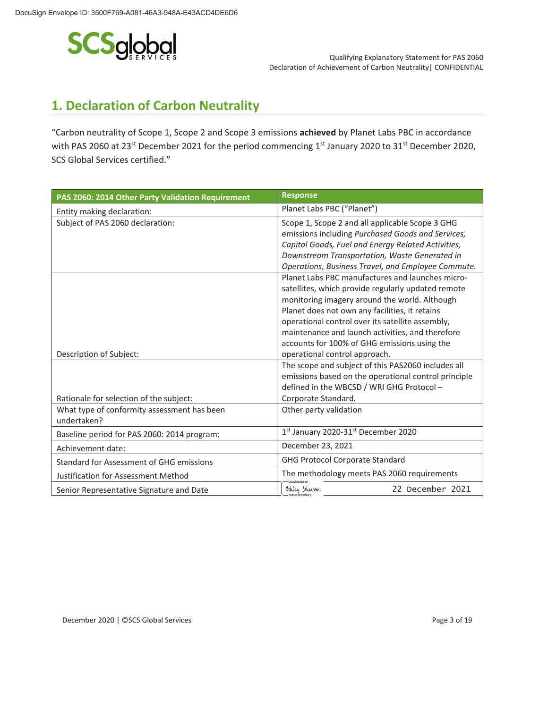

# **1. Declaration of Carbon Neutrality**

"Carbon neutrality of Scope 1, Scope 2 and Scope 3 emissions **achieved** by Planet Labs PBC in accordance with PAS 2060 at 23<sup>st</sup> December 2021 for the period commencing 1<sup>st</sup> January 2020 to 31<sup>st</sup> December 2020, SCS Global Services certified."

| PAS 2060: 2014 Other Party Validation Requirement          | <b>Response</b>                                      |  |
|------------------------------------------------------------|------------------------------------------------------|--|
| Entity making declaration:                                 | Planet Labs PBC ("Planet")                           |  |
| Subject of PAS 2060 declaration:                           | Scope 1, Scope 2 and all applicable Scope 3 GHG      |  |
|                                                            | emissions including Purchased Goods and Services,    |  |
|                                                            | Capital Goods, Fuel and Energy Related Activities,   |  |
|                                                            | Downstream Transportation, Waste Generated in        |  |
|                                                            | Operations, Business Travel, and Employee Commute.   |  |
|                                                            | Planet Labs PBC manufactures and launches micro-     |  |
|                                                            | satellites, which provide regularly updated remote   |  |
|                                                            | monitoring imagery around the world. Although        |  |
|                                                            | Planet does not own any facilities, it retains       |  |
|                                                            | operational control over its satellite assembly,     |  |
|                                                            | maintenance and launch activities, and therefore     |  |
|                                                            | accounts for 100% of GHG emissions using the         |  |
| Description of Subject:                                    | operational control approach.                        |  |
|                                                            | The scope and subject of this PAS2060 includes all   |  |
|                                                            | emissions based on the operational control principle |  |
|                                                            | defined in the WBCSD / WRI GHG Protocol -            |  |
| Rationale for selection of the subject:                    | Corporate Standard.                                  |  |
| What type of conformity assessment has been<br>undertaken? | Other party validation                               |  |
| Baseline period for PAS 2060: 2014 program:                | 1st January 2020-31st December 2020                  |  |
| Achievement date:                                          | December 23, 2021                                    |  |
| <b>Standard for Assessment of GHG emissions</b>            | <b>GHG Protocol Corporate Standard</b>               |  |
| Justification for Assessment Method                        | The methodology meets PAS 2060 requirements          |  |
| Senior Representative Signature and Date                   | Ashley Johnson<br>22 December 2021                   |  |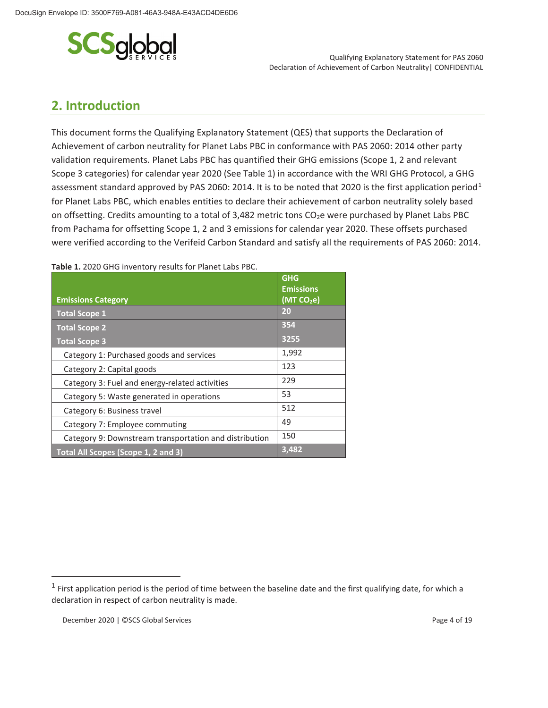

## **2. Introduction**

This document forms the Qualifying Explanatory Statement (QES) that supports the Declaration of Achievement of carbon neutrality for Planet Labs PBC in conformance with PAS 2060: 2014 other party validation requirements. Planet Labs PBC has quantified their GHG emissions (Scope 1, 2 and relevant Scope 3 categories) for calendar year 2020 (See Table 1) in accordance with the WRI GHG Protocol, a GHG assessment standard approved by PAS 2060: 2014. It is to be noted that 2020 is the first application period<sup>1</sup> for Planet Labs PBC, which enables entities to declare their achievement of carbon neutrality solely based on offsetting. Credits amounting to a total of 3,482 metric tons CO<sub>2</sub>e were purchased by Planet Labs PBC from Pachama for offsetting Scope 1, 2 and 3 emissions for calendar year 2020. These offsets purchased were verified according to the Verifeid Carbon Standard and satisfy all the requirements of PAS 2060: 2014.

| <b>Emissions Category</b>                              | <b>GHG</b><br><b>Emissions</b><br>(MTCO <sub>2</sub> e) |
|--------------------------------------------------------|---------------------------------------------------------|
| <b>Total Scope 1</b>                                   | 20                                                      |
| <b>Total Scope 2</b>                                   | 354                                                     |
| <b>Total Scope 3</b>                                   | 3255                                                    |
| Category 1: Purchased goods and services               | 1,992                                                   |
| Category 2: Capital goods                              | 123                                                     |
| Category 3: Fuel and energy-related activities         | 229                                                     |
| Category 5: Waste generated in operations              | 53                                                      |
| Category 6: Business travel                            | 512                                                     |
| Category 7: Employee commuting                         | 49                                                      |
| Category 9: Downstream transportation and distribution | 150                                                     |
| Total All Scopes (Scope 1, 2 and 3)                    | 3,482                                                   |

**Table 1.** 2020 GHG inventory results for Planet Labs PBC.

 $1$  First application period is the period of time between the baseline date and the first qualifying date, for which a declaration in respect of carbon neutrality is made.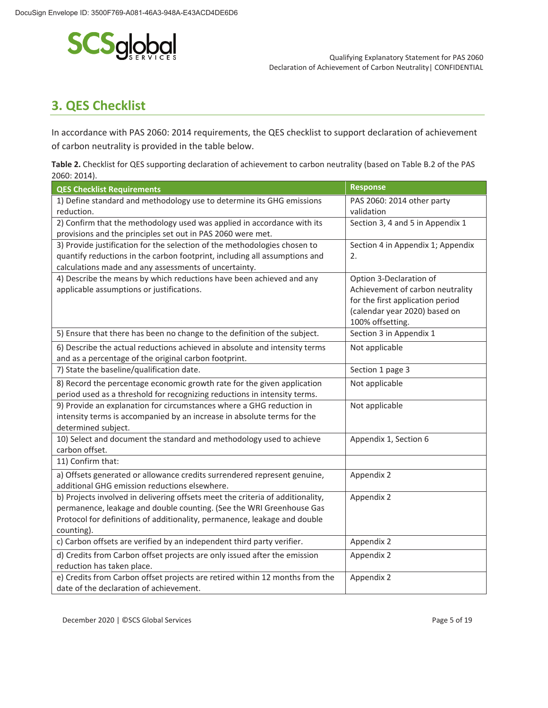

# **3. QES Checklist**

In accordance with PAS 2060: 2014 requirements, the QES checklist to support declaration of achievement of carbon neutrality is provided in the table below.

| Table 2. Checklist for QES supporting declaration of achievement to carbon neutrality (based on Table B.2 of the PAS |
|----------------------------------------------------------------------------------------------------------------------|
| 2060: 2014).                                                                                                         |

| <b>QES Checklist Requirements</b>                                                                                                   | <b>Response</b>                                                   |  |
|-------------------------------------------------------------------------------------------------------------------------------------|-------------------------------------------------------------------|--|
| 1) Define standard and methodology use to determine its GHG emissions                                                               | PAS 2060: 2014 other party                                        |  |
| reduction.                                                                                                                          | validation                                                        |  |
| 2) Confirm that the methodology used was applied in accordance with its                                                             | Section 3, 4 and 5 in Appendix 1                                  |  |
| provisions and the principles set out in PAS 2060 were met.                                                                         |                                                                   |  |
| 3) Provide justification for the selection of the methodologies chosen to                                                           | Section 4 in Appendix 1; Appendix                                 |  |
| quantify reductions in the carbon footprint, including all assumptions and                                                          | 2.                                                                |  |
| calculations made and any assessments of uncertainty.                                                                               |                                                                   |  |
| 4) Describe the means by which reductions have been achieved and any                                                                | Option 3-Declaration of                                           |  |
| applicable assumptions or justifications.                                                                                           | Achievement of carbon neutrality                                  |  |
|                                                                                                                                     | for the first application period<br>(calendar year 2020) based on |  |
|                                                                                                                                     | 100% offsetting.                                                  |  |
| 5) Ensure that there has been no change to the definition of the subject.                                                           | Section 3 in Appendix 1                                           |  |
|                                                                                                                                     |                                                                   |  |
| 6) Describe the actual reductions achieved in absolute and intensity terms<br>and as a percentage of the original carbon footprint. | Not applicable                                                    |  |
| 7) State the baseline/qualification date.                                                                                           | Section 1 page 3                                                  |  |
|                                                                                                                                     |                                                                   |  |
| 8) Record the percentage economic growth rate for the given application                                                             | Not applicable                                                    |  |
| period used as a threshold for recognizing reductions in intensity terms.                                                           |                                                                   |  |
| 9) Provide an explanation for circumstances where a GHG reduction in                                                                | Not applicable                                                    |  |
| intensity terms is accompanied by an increase in absolute terms for the                                                             |                                                                   |  |
| determined subject.<br>10) Select and document the standard and methodology used to achieve                                         | Appendix 1, Section 6                                             |  |
| carbon offset.                                                                                                                      |                                                                   |  |
| 11) Confirm that:                                                                                                                   |                                                                   |  |
| a) Offsets generated or allowance credits surrendered represent genuine,                                                            | Appendix 2                                                        |  |
| additional GHG emission reductions elsewhere.                                                                                       |                                                                   |  |
| b) Projects involved in delivering offsets meet the criteria of additionality,                                                      | Appendix 2                                                        |  |
| permanence, leakage and double counting. (See the WRI Greenhouse Gas                                                                |                                                                   |  |
| Protocol for definitions of additionality, permanence, leakage and double                                                           |                                                                   |  |
| counting).                                                                                                                          |                                                                   |  |
| c) Carbon offsets are verified by an independent third party verifier.                                                              | Appendix 2                                                        |  |
| d) Credits from Carbon offset projects are only issued after the emission                                                           | Appendix 2                                                        |  |
| reduction has taken place.                                                                                                          |                                                                   |  |
| e) Credits from Carbon offset projects are retired within 12 months from the<br>date of the declaration of achievement.             | Appendix 2                                                        |  |

December 2020 | ©SCS Global Services **Page 5 of 19** and 2011 12:00 Page 5 of 19 and 2012 12:00 Page 5 of 19 and 2012 12:00 Page 5 of 19 and 2012 12:00 Page 5 of 19 and 2012 12:00 Page 5 of 19 and 2012 12:00 Page 5 of 19 an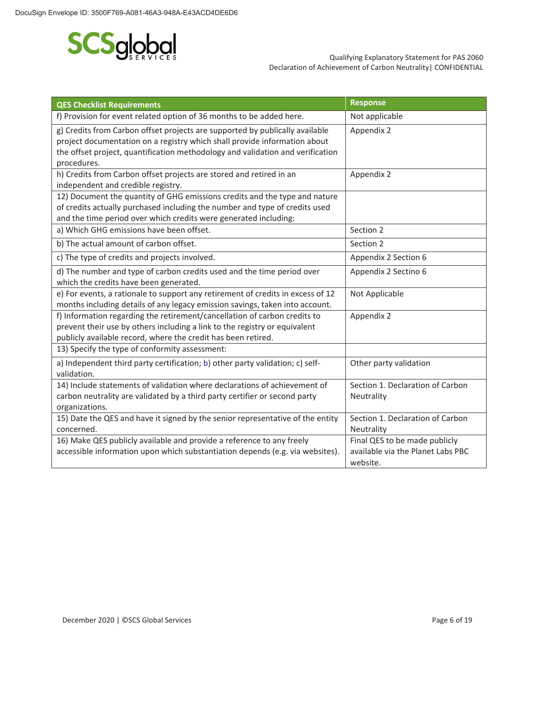

| <b>QES Checklist Requirements</b>                                                                                                                                                                                                                          | <b>Response</b>                                                                |  |
|------------------------------------------------------------------------------------------------------------------------------------------------------------------------------------------------------------------------------------------------------------|--------------------------------------------------------------------------------|--|
| f) Provision for event related option of 36 months to be added here.                                                                                                                                                                                       | Not applicable                                                                 |  |
| g) Credits from Carbon offset projects are supported by publically available<br>project documentation on a registry which shall provide information about<br>the offset project, quantification methodology and validation and verification<br>procedures. | Appendix 2                                                                     |  |
| h) Credits from Carbon offset projects are stored and retired in an<br>independent and credible registry.                                                                                                                                                  | Appendix 2                                                                     |  |
| 12) Document the quantity of GHG emissions credits and the type and nature<br>of credits actually purchased including the number and type of credits used<br>and the time period over which credits were generated including:                              |                                                                                |  |
| a) Which GHG emissions have been offset.                                                                                                                                                                                                                   | Section 2                                                                      |  |
| b) The actual amount of carbon offset.                                                                                                                                                                                                                     | Section 2                                                                      |  |
| c) The type of credits and projects involved.                                                                                                                                                                                                              | Appendix 2 Section 6                                                           |  |
| d) The number and type of carbon credits used and the time period over<br>which the credits have been generated.                                                                                                                                           | Appendix 2 Sectino 6                                                           |  |
| e) For events, a rationale to support any retirement of credits in excess of 12<br>months including details of any legacy emission savings, taken into account.                                                                                            | Not Applicable                                                                 |  |
| f) Information regarding the retirement/cancellation of carbon credits to<br>prevent their use by others including a link to the registry or equivalent<br>publicly available record, where the credit has been retired.                                   | Appendix 2                                                                     |  |
| 13) Specify the type of conformity assessment:                                                                                                                                                                                                             |                                                                                |  |
| a) Independent third party certification; b) other party validation; c) self-<br>validation.                                                                                                                                                               | Other party validation                                                         |  |
| 14) Include statements of validation where declarations of achievement of<br>carbon neutrality are validated by a third party certifier or second party<br>organizations.                                                                                  | Section 1. Declaration of Carbon<br>Neutrality                                 |  |
| 15) Date the QES and have it signed by the senior representative of the entity<br>concerned.                                                                                                                                                               | Section 1. Declaration of Carbon<br>Neutrality                                 |  |
| 16) Make QES publicly available and provide a reference to any freely<br>accessible information upon which substantiation depends (e.g. via websites).                                                                                                     | Final QES to be made publicly<br>available via the Planet Labs PBC<br>website. |  |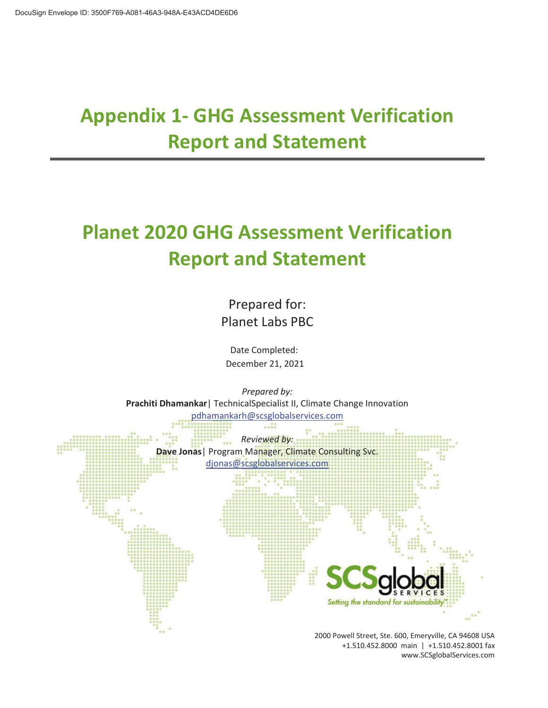# **Appendix 1- GHG Assessment Verification Report and Statement**

# **Planet 2020 GHG Assessment Verification Report and Statement**

Prepared for: Planet Labs PBC

 Date Completed: December 21, 2021



+1.510.452.8000 main | +1.510.452.8001 fax www.SCSglobalServices.com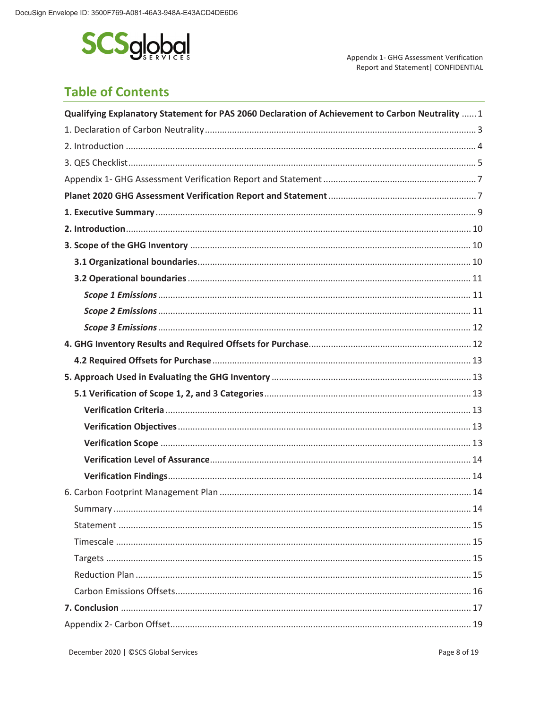

Appendix 1- GHG Assessment Verification Report and Statement | CONFIDENTIAL

# **Table of Contents**

| Qualifying Explanatory Statement for PAS 2060 Declaration of Achievement to Carbon Neutrality  1 |  |
|--------------------------------------------------------------------------------------------------|--|
|                                                                                                  |  |
|                                                                                                  |  |
|                                                                                                  |  |
|                                                                                                  |  |
|                                                                                                  |  |
|                                                                                                  |  |
|                                                                                                  |  |
|                                                                                                  |  |
|                                                                                                  |  |
|                                                                                                  |  |
|                                                                                                  |  |
|                                                                                                  |  |
|                                                                                                  |  |
|                                                                                                  |  |
|                                                                                                  |  |
|                                                                                                  |  |
|                                                                                                  |  |
|                                                                                                  |  |
|                                                                                                  |  |
|                                                                                                  |  |
|                                                                                                  |  |
|                                                                                                  |  |
|                                                                                                  |  |
|                                                                                                  |  |
|                                                                                                  |  |
|                                                                                                  |  |
|                                                                                                  |  |
|                                                                                                  |  |
|                                                                                                  |  |
|                                                                                                  |  |
|                                                                                                  |  |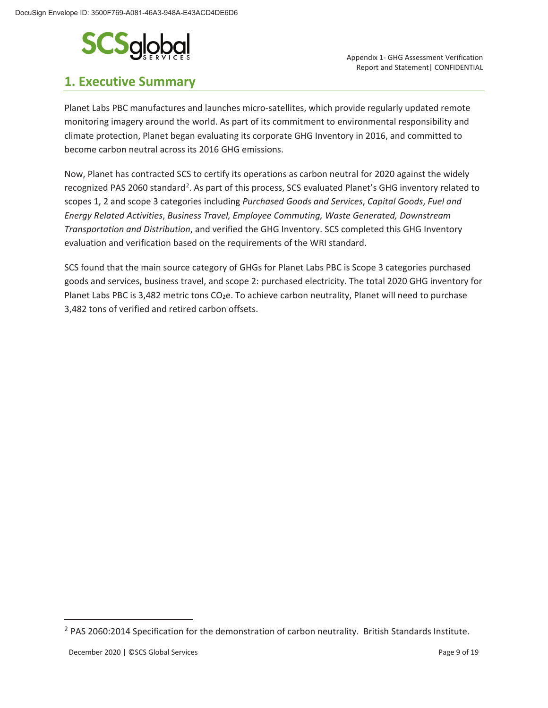

## **1. Executive Summary**

Report and Statement| CONFIDENTIAL

Planet Labs PBC manufactures and launches micro-satellites, which provide regularly updated remote monitoring imagery around the world. As part of its commitment to environmental responsibility and climate protection, Planet began evaluating its corporate GHG Inventory in 2016, and committed to become carbon neutral across its 2016 GHG emissions.

Now, Planet has contracted SCS to certify its operations as carbon neutral for 2020 against the widely recognized PAS 2060 standard<sup>2</sup>. As part of this process, SCS evaluated Planet's GHG inventory related to scopes 1, 2 and scope 3 categories including *Purchased Goods and Services*, *Capital Goods*, *Fuel and Energy Related Activities*, *Business Travel, Employee Commuting, Waste Generated, Downstream Transportation and Distribution*, and verified the GHG Inventory. SCS completed this GHG Inventory evaluation and verification based on the requirements of the WRI standard.

SCS found that the main source category of GHGs for Planet Labs PBC is Scope 3 categories purchased goods and services, business travel, and scope 2: purchased electricity. The total 2020 GHG inventory for Planet Labs PBC is 3,482 metric tons CO<sub>2</sub>e. To achieve carbon neutrality, Planet will need to purchase 3,482 tons of verified and retired carbon offsets.

<sup>&</sup>lt;sup>2</sup> PAS 2060:2014 Specification for the demonstration of carbon neutrality. British Standards Institute.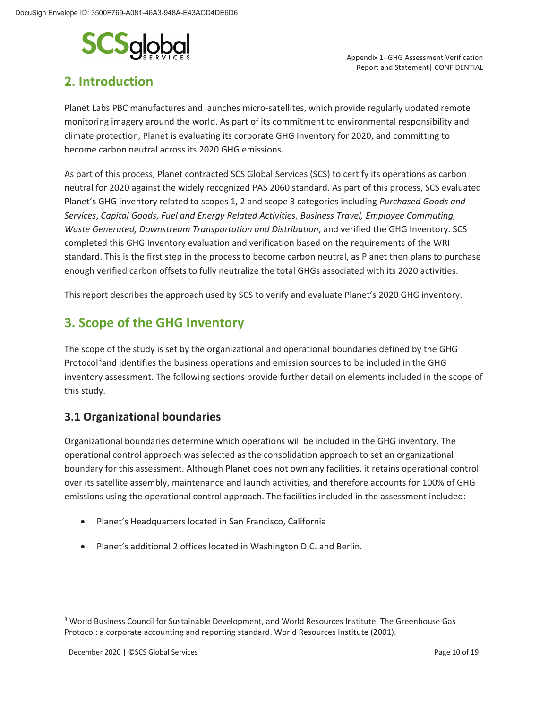

## **2. Introduction**

 Appendix 1- GHG Assessment Verification Report and Statement| CONFIDENTIAL

Planet Labs PBC manufactures and launches micro-satellites, which provide regularly updated remote monitoring imagery around the world. As part of its commitment to environmental responsibility and climate protection, Planet is evaluating its corporate GHG Inventory for 2020, and committing to become carbon neutral across its 2020 GHG emissions.

As part of this process, Planet contracted SCS Global Services (SCS) to certify its operations as carbon neutral for 2020 against the widely recognized PAS 2060 standard. As part of this process, SCS evaluated Planet's GHG inventory related to scopes 1, 2 and scope 3 categories including *Purchased Goods and Services*, *Capital Goods*, *Fuel and Energy Related Activities*, *Business Travel, Employee Commuting, Waste Generated, Downstream Transportation and Distribution*, and verified the GHG Inventory. SCS completed this GHG Inventory evaluation and verification based on the requirements of the WRI standard. This is the first step in the process to become carbon neutral, as Planet then plans to purchase enough verified carbon offsets to fully neutralize the total GHGs associated with its 2020 activities.

This report describes the approach used by SCS to verify and evaluate Planet's 2020 GHG inventory.

## **3. Scope of the GHG Inventory**

The scope of the study is set by the organizational and operational boundaries defined by the GHG Protocol<sup>3</sup>and identifies the business operations and emission sources to be included in the GHG inventory assessment. The following sections provide further detail on elements included in the scope of this study.

## **3.1 Organizational boundaries**

Organizational boundaries determine which operations will be included in the GHG inventory. The operational control approach was selected as the consolidation approach to set an organizational boundary for this assessment. Although Planet does not own any facilities, it retains operational control over its satellite assembly, maintenance and launch activities, and therefore accounts for 100% of GHG emissions using the operational control approach. The facilities included in the assessment included:

- Planet's Headquarters located in San Francisco, California
- Planet's additional 2 offices located in Washington D.C. and Berlin.

<sup>&</sup>lt;sup>3</sup> World Business Council for Sustainable Development, and World Resources Institute. The Greenhouse Gas Protocol: a corporate accounting and reporting standard. World Resources Institute (2001).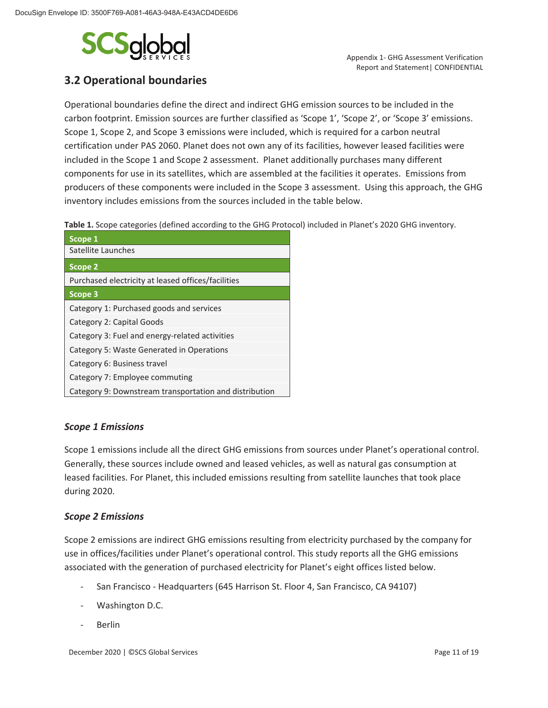

 Appendix 1- GHG Assessment Verification Report and Statement| CONFIDENTIAL

## **3.2 Operational boundaries**

Operational boundaries define the direct and indirect GHG emission sources to be included in the carbon footprint. Emission sources are further classified as 'Scope 1', 'Scope 2', or 'Scope 3' emissions. Scope 1, Scope 2, and Scope 3 emissions were included, which is required for a carbon neutral certification under PAS 2060. Planet does not own any of its facilities, however leased facilities were included in the Scope 1 and Scope 2 assessment. Planet additionally purchases many different components for use in its satellites, which are assembled at the facilities it operates. Emissions from producers of these components were included in the Scope 3 assessment. Using this approach, the GHG inventory includes emissions from the sources included in the table below.

**Table 1.** Scope categories (defined according to the GHG Protocol) included in Planet's 2020 GHG inventory.

| Scope 1                                                |
|--------------------------------------------------------|
| Satellite Launches                                     |
| Scope 2                                                |
| Purchased electricity at leased offices/facilities     |
| Scope 3                                                |
| Category 1: Purchased goods and services               |
| Category 2: Capital Goods                              |
| Category 3: Fuel and energy-related activities         |
| Category 5: Waste Generated in Operations              |
| Category 6: Business travel                            |
| Category 7: Employee commuting                         |
| Category 9: Downstream transportation and distribution |

### *Scope 1 Emissions*

Scope 1 emissions include all the direct GHG emissions from sources under Planet's operational control. Generally, these sources include owned and leased vehicles, as well as natural gas consumption at leased facilities. For Planet, this included emissions resulting from satellite launches that took place during 2020.

#### *Scope 2 Emissions*

Scope 2 emissions are indirect GHG emissions resulting from electricity purchased by the company for use in offices/facilities under Planet's operational control. This study reports all the GHG emissions associated with the generation of purchased electricity for Planet's eight offices listed below.

- San Francisco Headquarters (645 Harrison St. Floor 4, San Francisco, CA 94107)
- Washington D.C.
- **Berlin**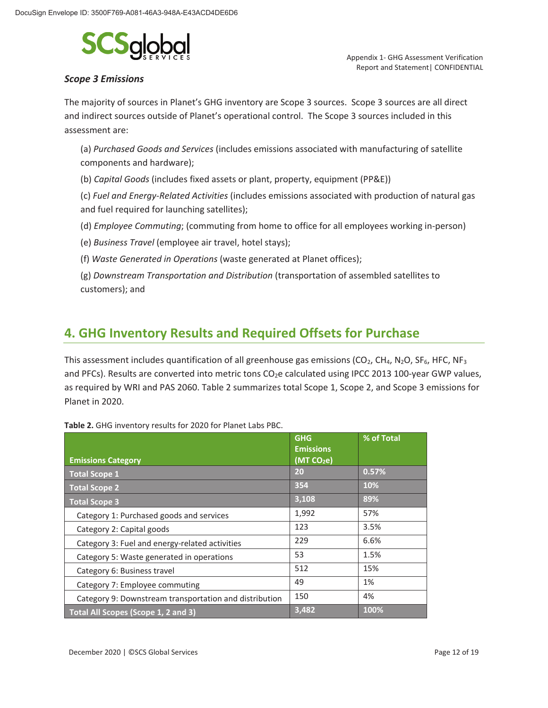

### *Scope 3 Emissions*

 Appendix 1- GHG Assessment Verification Report and Statement| CONFIDENTIAL

The majority of sources in Planet's GHG inventory are Scope 3 sources. Scope 3 sources are all direct and indirect sources outside of Planet's operational control. The Scope 3 sources included in this assessment are:

(a) *Purchased Goods and Services* (includes emissions associated with manufacturing of satellite components and hardware);

(b) *Capital Goods* (includes fixed assets or plant, property, equipment (PP&E))

(c) *Fuel and Energy-Related Activities* (includes emissions associated with production of natural gas and fuel required for launching satellites);

(d) *Employee Commuting*; (commuting from home to office for all employees working in-person)

(e) *Business Travel* (employee air travel, hotel stays);

(f) *Waste Generated in Operations* (waste generated at Planet offices);

(g) *Downstream Transportation and Distribution* (transportation of assembled satellites to customers); and

## **4. GHG Inventory Results and Required Offsets for Purchase**

This assessment includes quantification of all greenhouse gas emissions (CO<sub>2</sub>, CH<sub>4</sub>, N<sub>2</sub>O, SF<sub>6</sub>, HFC, NF<sub>3</sub> and PFCs). Results are converted into metric tons CO<sub>2</sub>e calculated using IPCC 2013 100-year GWP values, as required by WRI and PAS 2060. Table 2 summarizes total Scope 1, Scope 2, and Scope 3 emissions for Planet in 2020.

|                                                        | <b>GHG</b><br><b>Emissions</b> | % of Total |
|--------------------------------------------------------|--------------------------------|------------|
| <b>Emissions Category</b>                              | (MT CO <sub>2</sub> e)         |            |
| <b>Total Scope 1</b>                                   | 20                             | 0.57%      |
| <b>Total Scope 2</b>                                   | 354                            | 10%        |
| <b>Total Scope 3</b>                                   | 3,108                          | 89%        |
| Category 1: Purchased goods and services               | 1,992                          | 57%        |
| Category 2: Capital goods                              | 123                            | 3.5%       |
| Category 3: Fuel and energy-related activities         | 229                            | 6.6%       |
| Category 5: Waste generated in operations              | 53                             | 1.5%       |
| Category 6: Business travel                            | 512                            | 15%        |
| Category 7: Employee commuting                         | 49                             | 1%         |
| Category 9: Downstream transportation and distribution | 150                            | 4%         |
| Total All Scopes (Scope 1, 2 and 3)                    | 3,482                          | 100%       |

**Table 2.** GHG inventory results for 2020 for Planet Labs PBC.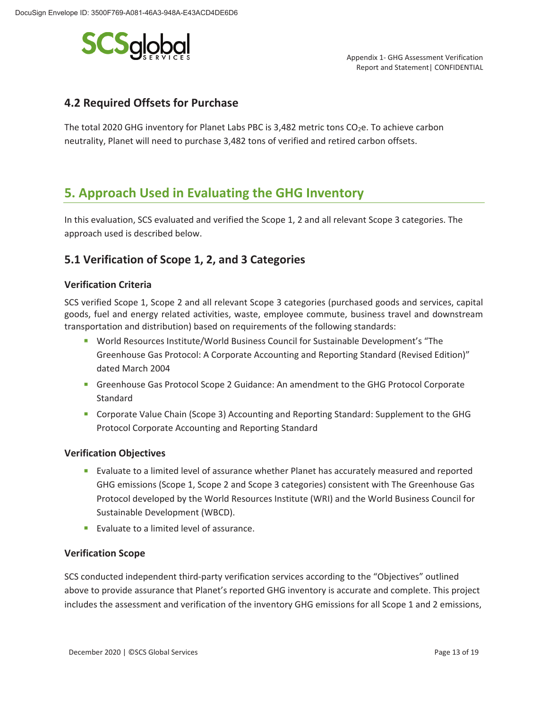

## **4.2 Required Offsets for Purchase**

The total 2020 GHG inventory for Planet Labs PBC is 3,482 metric tons  $CO<sub>2</sub>e$ . To achieve carbon neutrality, Planet will need to purchase 3,482 tons of verified and retired carbon offsets.

## **5. Approach Used in Evaluating the GHG Inventory**

In this evaluation, SCS evaluated and verified the Scope 1, 2 and all relevant Scope 3 categories. The approach used is described below.

## **5.1 Verification of Scope 1, 2, and 3 Categories**

### **Verification Criteria**

SCS verified Scope 1, Scope 2 and all relevant Scope 3 categories (purchased goods and services, capital goods, fuel and energy related activities, waste, employee commute, business travel and downstream transportation and distribution) based on requirements of the following standards:

- World Resources Institute/World Business Council for Sustainable Development's "The Greenhouse Gas Protocol: A Corporate Accounting and Reporting Standard (Revised Edition)" dated March 2004
- Greenhouse Gas Protocol Scope 2 Guidance: An amendment to the GHG Protocol Corporate Standard
- **Corporate Value Chain (Scope 3) Accounting and Reporting Standard: Supplement to the GHG** Protocol Corporate Accounting and Reporting Standard

#### **Verification Objectives**

- **Exaluate to a limited level of assurance whether Planet has accurately measured and reported** GHG emissions (Scope 1, Scope 2 and Scope 3 categories) consistent with The Greenhouse Gas Protocol developed by the World Resources Institute (WRI) and the World Business Council for Sustainable Development (WBCD).
- Evaluate to a limited level of assurance.

#### **Verification Scope**

SCS conducted independent third-party verification services according to the "Objectives" outlined above to provide assurance that Planet's reported GHG inventory is accurate and complete. This project includes the assessment and verification of the inventory GHG emissions for all Scope 1 and 2 emissions,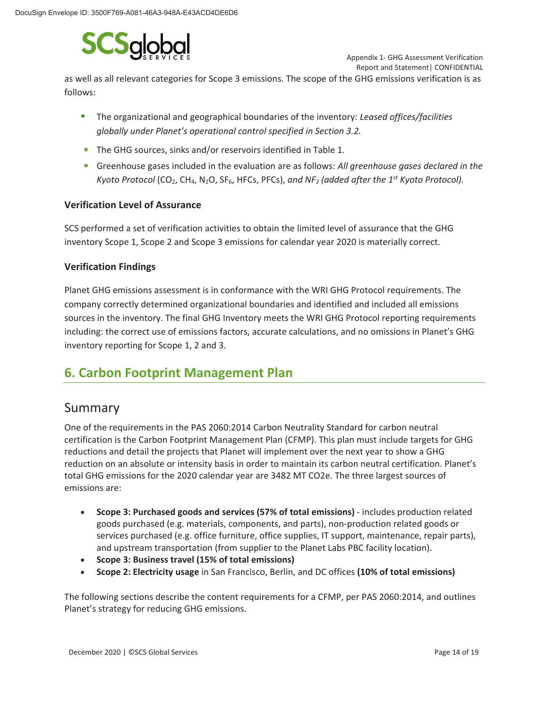

 Appendix 1- GHG Assessment Verification Report and Statement| CONFIDENTIAL

as well as all relevant categories for Scope 3 emissions. The scope of the GHG emissions verification is as follows:

- The organizational and geographical boundaries of the inventory: *Leased offices/facilities globally under Planet's operational control specified in Section 3.2.*
- The GHG sources, sinks and/or reservoirs identified in Table 1.
- Greenhouse gases included in the evaluation are as follows: *All greenhouse gases declared in the Kyoto Protocol* (CO2, CH4, N2O, SF6, HFCs, PFCs), *and NF3 (added after the 1st Kyoto Protocol).*

#### **Verification Level of Assurance**

SCS performed a set of verification activities to obtain the limited level of assurance that the GHG inventory Scope 1, Scope 2 and Scope 3 emissions for calendar year 2020 is materially correct.

#### **Verification Findings**

Planet GHG emissions assessment is in conformance with the WRI GHG Protocol requirements. The company correctly determined organizational boundaries and identified and included all emissions sources in the inventory. The final GHG Inventory meets the WRI GHG Protocol reporting requirements including: the correct use of emissions factors, accurate calculations, and no omissions in Planet's GHG inventory reporting for Scope 1, 2 and 3.

## **6. Carbon Footprint Management Plan**

## Summary

One of the requirements in the PAS 2060:2014 Carbon Neutrality Standard for carbon neutral certification is the Carbon Footprint Management Plan (CFMP). This plan must include targets for GHG reductions and detail the projects that Planet will implement over the next year to show a GHG reduction on an absolute or intensity basis in order to maintain its carbon neutral certification. Planet's total GHG emissions for the 2020 calendar year are 3482 MT CO2e. The three largest sources of emissions are:

- **Scope 3: Purchased goods and services (57% of total emissions)** includes production related goods purchased (e.g. materials, components, and parts), non-production related goods or services purchased (e.g. office furniture, office supplies, IT support, maintenance, repair parts), and upstream transportation (from supplier to the Planet Labs PBC facility location).
- x **Scope 3: Business travel (15% of total emissions)**
- x **Scope 2: Electricity usage** in San Francisco, Berlin, and DC offices **(10% of total emissions)**

The following sections describe the content requirements for a CFMP, per PAS 2060:2014, and outlines Planet's strategy for reducing GHG emissions.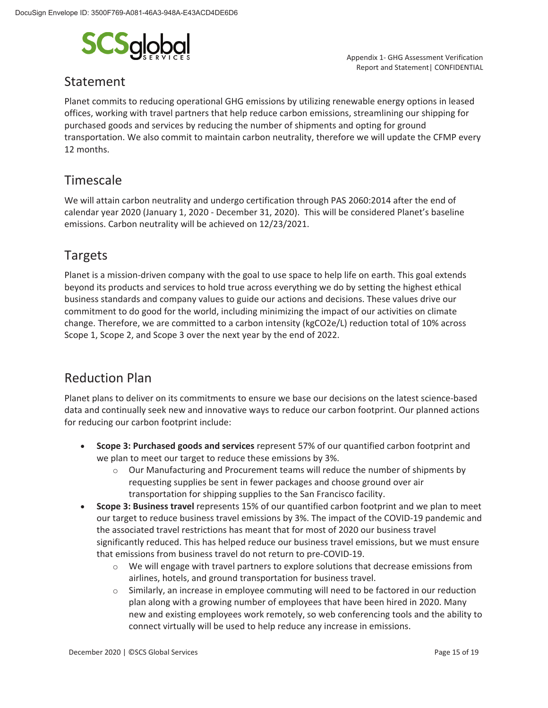

## Statement

 Appendix 1- GHG Assessment Verification Report and Statement| CONFIDENTIAL

Planet commits to reducing operational GHG emissions by utilizing renewable energy options in leased offices, working with travel partners that help reduce carbon emissions, streamlining our shipping for purchased goods and services by reducing the number of shipments and opting for ground transportation. We also commit to maintain carbon neutrality, therefore we will update the CFMP every 12 months.

## Timescale

We will attain carbon neutrality and undergo certification through PAS 2060:2014 after the end of calendar year 2020 (January 1, 2020 - December 31, 2020). This will be considered Planet's baseline emissions. Carbon neutrality will be achieved on 12/23/2021.

## Targets

Planet is a mission-driven company with the goal to use space to help life on earth. This goal extends beyond its products and services to hold true across everything we do by setting the highest ethical business standards and company values to guide our actions and decisions. These values drive our commitment to do good for the world, including minimizing the impact of our activities on climate change. Therefore, we are committed to a carbon intensity (kgCO2e/L) reduction total of 10% across Scope 1, Scope 2, and Scope 3 over the next year by the end of 2022.

## Reduction Plan

Planet plans to deliver on its commitments to ensure we base our decisions on the latest science-based data and continually seek new and innovative ways to reduce our carbon footprint. Our planned actions for reducing our carbon footprint include:

- **Scope 3: Purchased goods and services** represent 57% of our quantified carbon footprint and we plan to meet our target to reduce these emissions by 3%.
	- $\circ$  Our Manufacturing and Procurement teams will reduce the number of shipments by requesting supplies be sent in fewer packages and choose ground over air transportation for shipping supplies to the San Francisco facility.
- **Scope 3: Business travel** represents 15% of our quantified carbon footprint and we plan to meet our target to reduce business travel emissions by 3%. The impact of the COVID-19 pandemic and the associated travel restrictions has meant that for most of 2020 our business travel significantly reduced. This has helped reduce our business travel emissions, but we must ensure that emissions from business travel do not return to pre-COVID-19.
	- $\circ$  We will engage with travel partners to explore solutions that decrease emissions from airlines, hotels, and ground transportation for business travel.
	- o Similarly, an increase in employee commuting will need to be factored in our reduction plan along with a growing number of employees that have been hired in 2020. Many new and existing employees work remotely, so web conferencing tools and the ability to connect virtually will be used to help reduce any increase in emissions.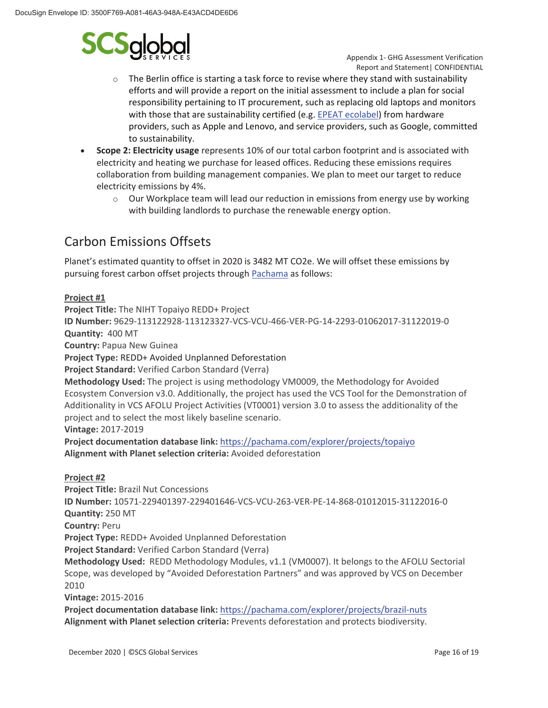

 Appendix 1- GHG Assessment Verification Report and Statement| CONFIDENTIAL

- $\circ$  The Berlin office is starting a task force to revise where they stand with sustainability efforts and will provide a report on the initial assessment to include a plan for social responsibility pertaining to IT procurement, such as replacing old laptops and monitors with those that are sustainability certified (e.g. EPEAT ecolabel) from hardware providers, such as Apple and Lenovo, and service providers, such as Google, committed to sustainability.
- x **Scope 2: Electricity usage** represents 10% of our total carbon footprint and is associated with electricity and heating we purchase for leased offices. Reducing these emissions requires collaboration from building management companies. We plan to meet our target to reduce electricity emissions by 4%.
	- o Our Workplace team will lead our reduction in emissions from energy use by working with building landlords to purchase the renewable energy option.

# Carbon Emissions Offsets

Planet's estimated quantity to offset in 2020 is 3482 MT CO2e. We will offset these emissions by pursuing forest carbon offset projects through Pachama as follows:

#### **Project #1**

**Project Title:** The NIHT Topaiyo REDD+ Project **ID Number:** 9629-113122928-113123327-VCS-VCU-466-VER-PG-14-2293-01062017-31122019-0 **Quantity:** 400 MT **Country:** Papua New Guinea **Project Type:** REDD+ Avoided Unplanned Deforestation **Project Standard:** Verified Carbon Standard (Verra) **Methodology Used:** The project is using methodology VM0009, the Methodology for Avoided Ecosystem Conversion v3.0. Additionally, the project has used the VCS Tool for the Demonstration of Additionality in VCS AFOLU Project Activities (VT0001) version 3.0 to assess the additionality of the project and to select the most likely baseline scenario. **Vintage:** 2017-2019 **Project documentation database link:** https://pachama.com/explorer/projects/topaiyo **Alignment with Planet selection criteria:** Avoided deforestation **Project #2 Project Title:** Brazil Nut Concessions

**ID Number:** 10571-229401397-229401646-VCS-VCU-263-VER-PE-14-868-01012015-31122016-0 **Quantity:** 250 MT **Country:** Peru **Project Type:** REDD+ Avoided Unplanned Deforestation **Project Standard:** Verified Carbon Standard (Verra) **Methodology Used:** REDD Methodology Modules, v1.1 (VM0007). It belongs to the AFOLU Sectorial Scope, was developed by "Avoided Deforestation Partners" and was approved by VCS on December 2010 **Vintage:** 2015-2016 **Project documentation database link:** https://pachama.com/explorer/projects/brazil-nuts

**Alignment with Planet selection criteria:** Prevents deforestation and protects biodiversity.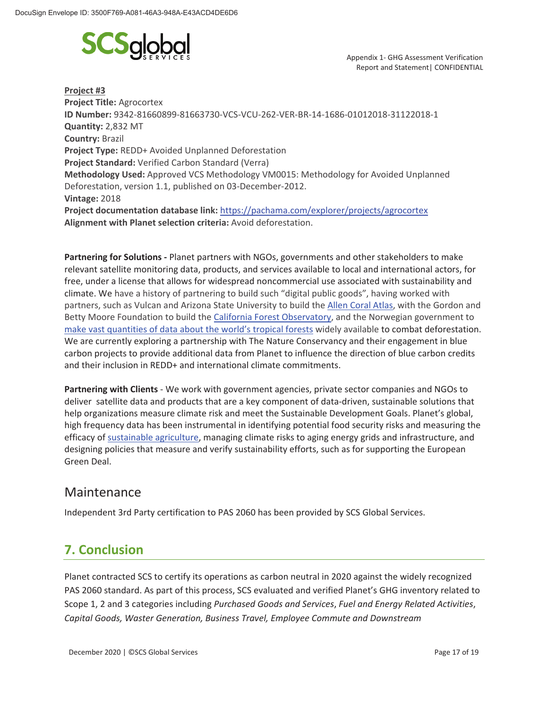

**Project #3 Project Title:** Agrocortex **ID Number:** 9342-81660899-81663730-VCS-VCU-262-VER-BR-14-1686-01012018-31122018-1 **Quantity:** 2,832 MT **Country:** Brazil **Project Type:** REDD+ Avoided Unplanned Deforestation **Project Standard:** Verified Carbon Standard (Verra) **Methodology Used:** Approved VCS Methodology VM0015: Methodology for Avoided Unplanned Deforestation, version 1.1, published on 03-December-2012. **Vintage:** 2018 **Project documentation database link:** https://pachama.com/explorer/projects/agrocortex **Alignment with Planet selection criteria:** Avoid deforestation.

**Partnering for Solutions -** Planet partners with NGOs, governments and other stakeholders to make relevant satellite monitoring data, products, and services available to local and international actors, for free, under a license that allows for widespread noncommercial use associated with sustainability and climate. We have a history of partnering to build such "digital public goods", having worked with partners, such as Vulcan and Arizona State University to build the Allen Coral Atlas, with the Gordon and Betty Moore Foundation to build the California Forest Observatory, and the Norwegian government to make vast quantities of data about the world's tropical forests widely available to combat deforestation. We are currently exploring a partnership with The Nature Conservancy and their engagement in blue carbon projects to provide additional data from Planet to influence the direction of blue carbon credits and their inclusion in REDD+ and international climate commitments.

**Partnering with Clients** - We work with government agencies, private sector companies and NGOs to deliver satellite data and products that are a key component of data-driven, sustainable solutions that help organizations measure climate risk and meet the Sustainable Development Goals. Planet's global, high frequency data has been instrumental in identifying potential food security risks and measuring the efficacy of sustainable agriculture, managing climate risks to aging energy grids and infrastructure, and designing policies that measure and verify sustainability efforts, such as for supporting the European Green Deal.

## Maintenance

Independent 3rd Party certification to PAS 2060 has been provided by SCS Global Services.

# **7. Conclusion**

Planet contracted SCS to certify its operations as carbon neutral in 2020 against the widely recognized PAS 2060 standard. As part of this process, SCS evaluated and verified Planet's GHG inventory related to Scope 1, 2 and 3 categories including *Purchased Goods and Services*, *Fuel and Energy Related Activities*, *Capital Goods, Waster Generation, Business Travel, Employee Commute and Downstream*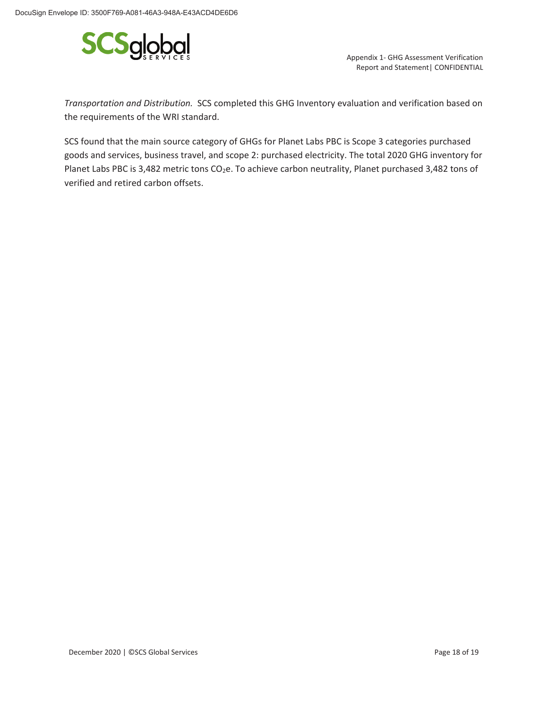

Report and Statement| CONFIDENTIAL

*Transportation and Distribution.* SCS completed this GHG Inventory evaluation and verification based on the requirements of the WRI standard.

SCS found that the main source category of GHGs for Planet Labs PBC is Scope 3 categories purchased goods and services, business travel, and scope 2: purchased electricity. The total 2020 GHG inventory for Planet Labs PBC is 3,482 metric tons CO<sub>2</sub>e. To achieve carbon neutrality, Planet purchased 3,482 tons of verified and retired carbon offsets.